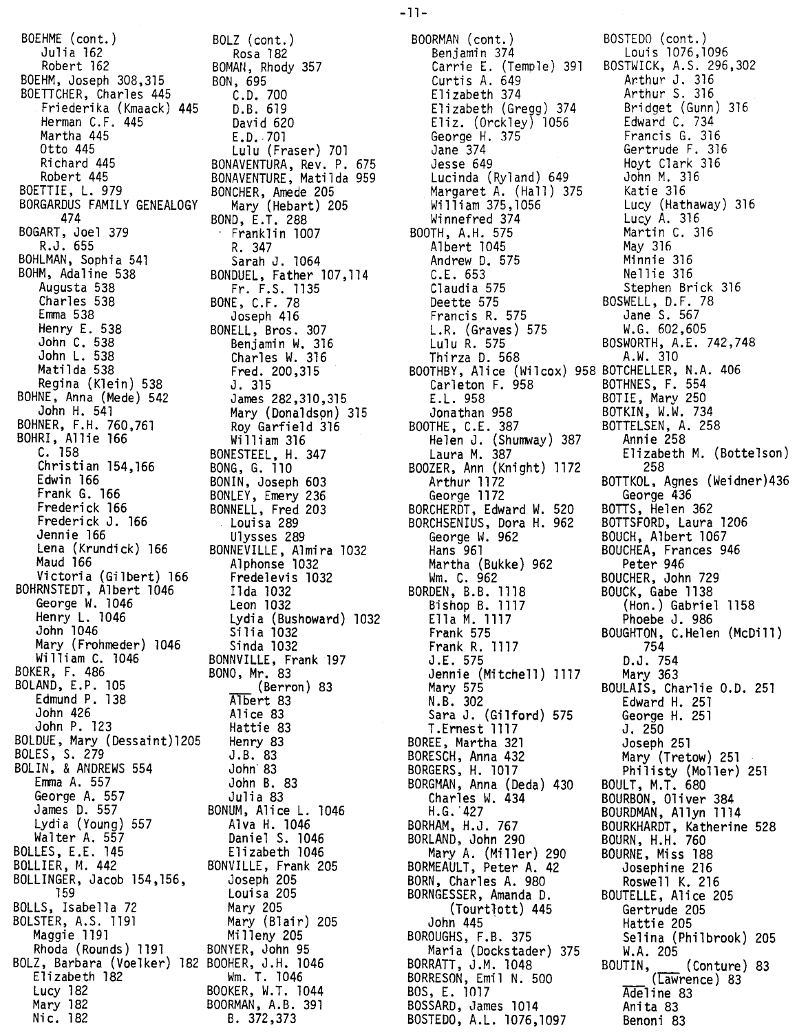BOEHME (cont.) Julia 162 Robert 162 BOEHM, Joseph 308,315 BOETTCHER, Charles 445 Friederika (Kmaack) 445 Herman C.F. 445 Martha 445 Otto 445 Richard 445 Robert 445 BOETTIE, L. 979 BORGARDUS FAMILY GENEALOGY 474 BOGART, Joel 379 R.J. 655 BOHLMAN, Sophia 541 BOHM, Adaline 538 Augusta 538 Charles 538 Emma 538 Henry E. 538 John C. 538 John L. 538 Matilda 538 Regina (Klein) 538 BOHNE, Anna (Mede) 542 John H. 541 BOHNER, F.H. 760,761 BOHRI, Allie 166 C. 158 Christian 154,166 Edwin 166 Frank G. 166 Frederick 166 Frederick J. 166 Jennie 166 Lena (Krundick) 166 Maud 166 Victoria (Gilbert) 166 BOHRNSTEDT, Albert 1046 George W. 1046 Henry L. 1046 John 1046 Mary (Frohmeder) 1046 William C. 1046 BOKER, F. 486 BOLAND, E.P. 105 Edmund P. 138 John 426 John P. 123 BOLDUE, Mary (Dessaint)1205 BOLES, S. 279 BOLIN, & ANDREWS 554 Emma A. 557 George A. 557 James D. 557 Lydia (Young) 557 Walter A. 557 BOLLES, E.E. 145 BOLLIER, M. 442 BOLLINGER, Jacob 154,156, 159 BOLLS, Isabella 72 BOLSTER, A.S. 1191 Maggie 1191 Rhoda (Rounds) 1191 BOLZ, Barbara (Voelker) 182 BOOHER, J.H. 1046 Elizabeth 182 Lucy 182 Mary 182 Nic. 182

BOLZ (cont.) Rosa 182 BOMAN, Rhody 357 BON, 695 C.D. 700 D.B. 619 David 620 E.D. 701 Lulu (Fraser) 701 BONAVENTURA, Rev. P. 675 BONAVENTURE, Matilda 959 BONCHER, Amede 205 Mary (Hebart) 205 BOND, <sup>L</sup> 1. <sup>288</sup> , Franklin 1007 R. 347 Sarah J. 1064 BONDUEL, Father 107,114 Fr. F.S. 1135 BONE, C.F. 78 Joseph 416 BONELL, Bros. 307 Benjamin W. 316 Charles W. 316 Fred. 200,315 J. 315 James 282,310,315 Mary (Donaldson) 315 Roy Garfield 316 Wi11iam 316 BONESTEEL. H. 347 BONG, G. 110 BONIN, Joseph 603 BONLEY, Emery 236 BONNELL, Fred 203 Louisa 289 Ulysses 289 BONNEVILLE, Almira 1032 Alphonse 1032 Fredelevis 1032 I1da 1032 Leon 1032 Lydia (Bushoward) 1032 Silia 1032 Sinda 1032 BONNVILLE, Frank 197 BONO, Mr. 83 (Berron) 83 Albert 83 Alice 83 Hattie 83 Henry 83 J.B. 83 John'83 John B. 83 Julia 83 BONUM, Alice L. 1046 Alva H. 1046 Daniel S. 1046 Elizabeth 1046 BONVILLE, Frank 205 Joseph 205 Louisa 205 Mary 205 Mary (Blair) 205 Milleny 205 BONYER, John 95 Wm. T. 1046 BOOKER, W.T. 1044 BOORMAN, A.B. 391 B. 372,373

BOORMAN (cont.) Benjamin 374 Carrie E. (Temple) 391 Curtis A. 649 Elizabeth 374 Elizabeth (Gregg) 374 Eliz. (Orckley) 1056 George H. 375 Jane 374 Jesse 649 Lucinda (Ryland) 649 Margaret A. (Hall) 375 William 375,1056 Winnefred 374 BOOTH, A.H. 575 Albert 1045 Andrew D. 575 C.L 653 Claudia 575 Deette 575 Francis R. 575 L.R. (Graves) 575 Lulu R. 575 Thirza D. 568 BOOTHBY, Alice (Wilcox) 958 BOTCHELLER, N.A. 406 Carleton F. 958 LL. 958 Jonathan 958 BOOTHE, C.E. 387 Helen J. (Shumway) 387 Laura M. 387 BOOZER, Ann (Knight) 1172 Arthur 1172 George 1172 BORCHERDT, Edward W. 520 BORCHSENIUS, Dora H. 962 George W. 962 Hans 961 Martha (Bukke) 962 Wm. C. 962 BORDEN, B.B. 1118 Bishop B. 1117 Ella M. 1117 Frank 575 Frank R. 1117 J.E. 575 Jennie (Mitchell) 1117 Mary 575 N.B. 302 Sara J. (Gilford) 575 **T.Ernest 1117** BOREE, Martha 321 BORESCH, Anna 432 BORGERS, H. 1017 BORGMAN, Anna (Deda) 430 Charles W. 434 H.G. 427 BORHAM, H.J. 767 BORLAND, John 290 Mary A. (Miller) 290 BORMEAULT, Peter A. 42 BORN, Charles A. 980 BORNGESSER, Amanda D. (Tourtlott) 445 John 445 . BOROUGHS, F.B. 375 Maria (Dockstader) 375 BORRATT, J.M. 1048 BORRESON, Emil N. 500 BOS, E. 1017 BOSSARD, James 1014 BOSTEDO, A.L. 1076,1097

BOSTEDO (cont.) Louis 1076,1096 391 BOSTWICK, A.S. 296.302 Arthur J. 316 Arthur S. 316 Bridget (Gunn) 316 Edward C. 734 Francis G. 316 Gertrude F. 316 Hoyt Clark 316 John M. 316 Katie 316 Lucy (Hathaway) 316 Lucy A. 316 Martin C. 316 May 316 Minnie 316 Nellie 316 Stephen Brick 316 BOSWELL, D.F. 78 Jane S. 567 W.G. 602,605 BOSWORTH, A.E. 742,748 A.W. 310 BOTHNES, F. 554 BOTIE, Mary 250 BOTKIN, W.W. 734 BOTTELSEN, A. 258 Annie 258 Elizabeth M. (Bottelson) 258 BOTTKOL, Agnes (Weidner)436 George 436 BOTTS, Helen 362 BOTTSFORD, Laura 1206 BOUCH, Albert 1067 BOUCHEA, Frances 946 Peter 946 BOUCHER, John 729 BOUCK. Gabe 1138 (Hon.) Gabriel 1158 Phoebe J. 986 BOUGHTON, C.Helen (McDill) 754 D.J. 754 Mary 363 BOULAIS, Charlie 0.0. 251 Edward H. 251 George H. 251 J. 250 Joseph 251 Mary (Tretow) 251 Philisty (Moller) 251 BOULT, M.T. 680 BOURBON, Oliver 384 BOURDMAN, Allyn 1114 BOURKHARDT, Katherine 528 BOURN, H.H. 760 BOURNE, Miss 188 Josephine 216 Roswe 11 K. 216 BOUTELLE, Alice 205 Gertrude 205 Hattie 205 Selina (Philbrook) 205 W.A. 205 BOUTIN, (Conture) 83 (Lawrence) 83 Adeline 83 Anita 83 Benoni 83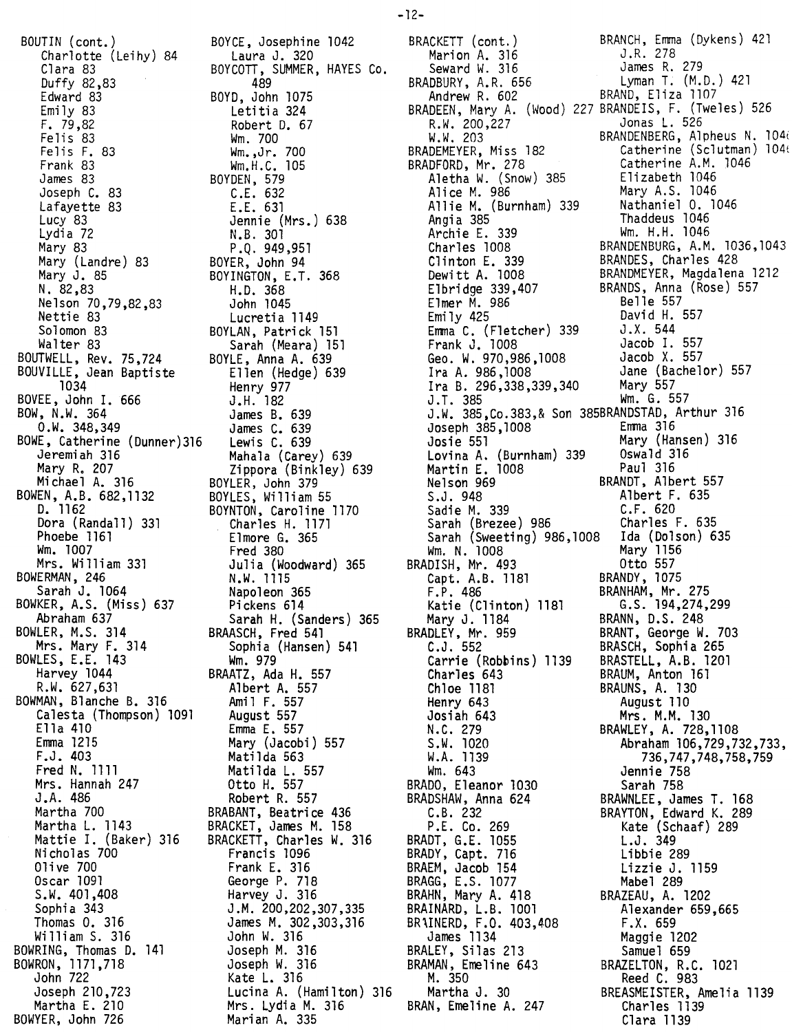BOUTIN (cont.) Charlotte (Leihy) 84 Clara 83 Duffy 82,83 Edward 83 Emily 83 F. 79,82 Felis<sup>83</sup> Fe1isF. 83 Frank 83 James 83 Joseph C. 83 Lafayette 83 Lucy 83<br>Lydia 72 Lydia 72 Mary 83 Mary (Landre) 83 Mary J. 85 N. 82,83 Nelson 70,79,82,83 Nettie 83 Solomon 83 Walter 83 BOUTWELL, Rev. 75,724 BOUVILLE, Jean Baptiste 1034 BOVEE, John I. 666 BOW, N.W. 364 O.W. 348,349 BOWE, Catherine (Dunner)316 Jeremiah 316 Mary R. 207<br>Michael A. 316 Michael A. 316 BOWEN, A.B. 682,1132 D. 1162 Dora (Randall) 331 Phoebe 1161 Wm. 1007 Mrs. William 331 BOWERMAN, 246 Sarah J. 1064 BOWKER, A.S. (Miss) 637 Abraham 637 BOWLER, M.S. 314 Mrs. Mary F. 314 BOWLES, E.E. 143 Harvey 1044 R.W. 627,631 BOWMAN, Blanche B. 316 Calesta (Thompson) 1091 Ella 410 Emma 1215 F.J. 403 Fred N. 1111 Mrs. Hannah 247 J.A. 486 Martha 700 Martha L. 1143 Mattie I. (Baker) 316 Nicholas 700 Olive 700 Oscar 1091 S.W. 401,408 Sophia 343 Thomas O. 316 William S. 316 BOWRING, Thomas D. 141 BOWRON, 1171,718 John 722 Joseph 210,723 Martha E. 210 BOWYER, John 726

BOYCE, Josephine 1042 Laura J. 320 BOYCOTT, SUMMER, HAYES Co. 489 BOYD, John 1075 Letitia 324 Robert D. 67 Wm. 700 Wm.,Jr.700 Wm.H.C. 105 BOYDEN, 579 C.E. 632 E.E. 631 Jennie (Mrs.) 638<br>N.B. 301 N.B. 301 P.Q. 949,951 BOYER, John 94 BOYINGTON, E.T. 368 H.D. 368 John 1045 Lucretia 1149 BOYLAN, Patrick 151 Sarah (Meara) 151 BOYLE, Anna A. 639 Ellen (Hedge) 639 Henry 977 J.H. 182 James B. 639 James C. 639 Lewis C. 639 Mahala (Carey) 639 Zippora (Binkley) 639 BOYLER, John 379 BOYLES, William 55 BOYNTON, Caroline 1170 Charles H. 1171 Elmore G. 365 Fred 380 Julia (Woodward) 365 N.W. 1115 Napoleon 365 Pickens 614 Sarah H. (Sanders) 365 BRAASCH, Fred 541 Sophia (Hansen) 541 Wm. 979 BRAATZ, Ada H. 557 Albert A. 557 Amil F. 557 August 557 Emma E. 557 Mary (Jacobi) 557 Matilda 563 Matilda L. 557 Otto H. 557 Robert R. 557 BRABANT, Beatrice 436 BRACKET, James M. 158 BRACKETT, Charles W. 316 Francis 1096 Frank E. 316 George P. 718 Harvey J. 316 J.M. 200,202,307,335 James M. 302,303,316 John W. 316 Joseph M. 316 Joseph W. 316 Kate L. 316 Lucina A. (Hamilton) 316 Mrs. Lydia M. 316 Marian A. 335

BRACKETT (cont.) BRANCH, Emma (Dykens) 421<br>Marion A. 316 J.R. 278 Marion A. 316 J.R. 278 Seward W. 316 James R. 279 BRADBURY, A.R. 656 Lyman T. (M.D.) 421<br>Andrew R. 602 BRAND, Eliza 1107 Andrew R. 602 BRAND, Eliza (107) BRADEEN, Mary A. (l400d)227 BRANDEIS, F. (Tweles) 526 R.W. 200,227 Jonas L. 526 W.W. 203 BRANDENBERG, Alpheus N. 1040 BRADEMEYER, Miss 182 Catherine (Sclutman) 104t<br>BRADEORD, Mr. 278 Catherine A.M. 1046 BRADFORD, Mr. 278 Catherine A.M. 1046 Aletha W. (Snow) 385 Elizabeth 1046 Alice M. 986 Mary A.S. 1046<br>Allie M. (Burnham) 339 Nathaniel 0. 1046 Allie M. (Burnham) 339<br>Angia 385 Archie E. 339 Charles 1008 BRANDENBURG, A.M. 1036,1043<br>
Clinton E. 339 BRANDES, Charles 428<br>
Dewitt A. 1008 BRANDMEYER, Magdalena 1212<br>
Elbridge 339,407 BRANDS, Anna (Rose) 557<br>
Elmer M. 986 Belle 557 Clinton E. 339 BRANDES, Charles 428 Dewitt A. 1008 BRANDMEYER, Magdalena 1212 Elmer M. 986 Belle 557 Emily 425 David H. 557 Emma C. (Fletcher) 339 J.X. 544 Frank J. 1008 Jacob I. 557 Geo. W. 970,986,1008 Jacob X. 557 Ira A. 986,1008 Jane (Bachelor) 557 Ira B. 296,338,339,340 Mary 557 J.T. 385 Wm. G. 557 J.W. 385,Co.383,& Son 385BRANDSTAD, Arthur 316 Joseph 385,1008 Emma 316 Lovina A. (Burnham) 339 Oswald 316 Martin E. 1008<br>Nelson 969 Nelson 969 BRANDT, Albert 557 Sadie M. 339 C.F. 620 Sarah (Brezee) 986 Sarah (Sweeting) 986,1008 Ida (Dolson) 635 Wm. N. 1008 Mary 1156 BRADISH, Mr. 493 Otto 557 Wm. N. 1008<br>BRADISH, Mr. 493<br>Capt. A.B. 1181<br>F.P. 486 F.P. 486 BRANHAM, Mr. 275 Katie (Clinton) 1181 G.S. 194,274,299 Mary J. 1184<br>
BRADLEY, Mr. 959<br>
C.J. 552<br>
BRASCH, Sophia 2 BRADLEY, Mr. 959 BRANT, George W. 703 C.J. 552 BRASCH, Sophia 265 Carrie (Robbins) 1139 BRASTELL, A.B. 1201 Charles 643 BRAUM, Anton 161 Chloe 1181 BRAUNS, A. 130 Henry 643 August 110 Josiah 643 Mrs. M.M. 130 N.C. 279 BRAWLEY, A. 728,1108 N.C. 279 BRAWLEY, A. 728,1108<br>S.W. 1020 Abraham 106,729,732,733,<br>W.A. 1139 736,747,748,758,759 W.A. 1139 736,747,748,758,759 Wm. 643 Jennie 758<br>Sarah 758 BRADO, Eleanor 1030<br>BRADSHAW, Anna 624 BRADSHAW, Anna 624 BRAWNLEE, James T. 168 C.B. 232 BRAYTON, Edward K. 289 P.L Co. 269 Kate (Schaaf) 289 BRADT, G.E. 1055 L.J. 349 BRADY, Capt. 716 Libbie 289 BRAEM, Jacob 154 Lizzie J. 1159 BRAGG, E.S. 1077 Mabel 289 BRAHN, Mary A. 418 BRAZEAU, A. 1202 BRAINARD, L.B. 1001 Alexander 659,665 BR\INERD, F.O. 403,408 F.X. 659<br>James 1134 Maggie 1: BRALEY, Silas 213 Samuel 659<br>BRAMAN, Emeline 643 BRAZELTON, R. BRAMAN, Emeline 643 BRAZELTON, R.C. 1021 M. 350 Reed C. 983<br>Martha J. 30 BREASMEISTER, A BRAN, Emeline A. 247

Thaddeus 1046<br>Wm. H.H. 1046 Elbridge 339, Anna (Rose) 557<br>Belle 557<br>Belle 557 Mary (Hansen) 316<br>Oswald 316 Albert F. 635<br>C.F. 620 Maggie 1202 BREASMEISTER, Amelia 1139<br>Charles 1139 Clara 1139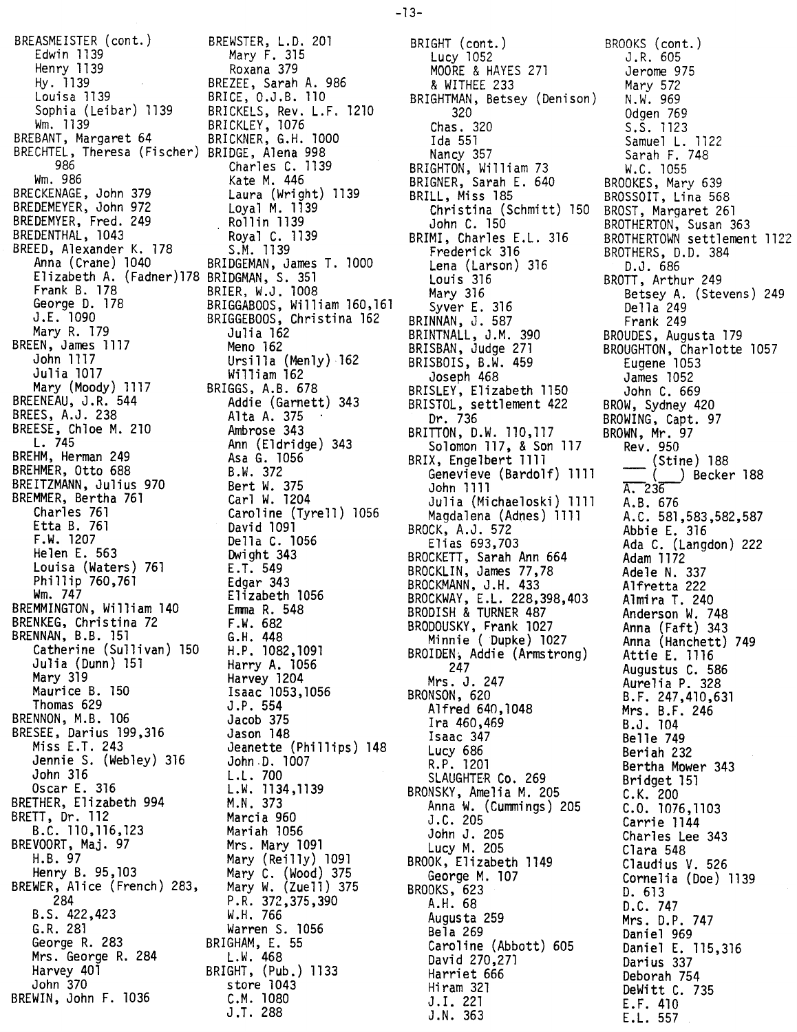BREASMEISTER (cont.) BREWSTER, L.D. 201 Edwin 1139 Mary F. 315 Henry 1139 Roxana 379 Hy. 1139 BREZEE, Sarah A. 986 Louisa 1139 BRICE, O.J.B. 110 Sophia (Leibar) 1139 BRICKELS, Rev. L.F. 1210 Wm. 1139 BRICKLEY, 1076 BREBANT, Margaret 64 BRICKNER, G.H. 1000 BRECHTEL, Theresa (Fischer) BRIDGE, Alena 998 986 Charles C. 1139 Wm. 986 Kate M. 446 BRECKENAGE, John 379 Laura (Wright) 1139 BREDEMEYER, John 972 Loyal M. 1139 BREDEMYER, Fred. 249 Rollin 1139 BREDENTHAL, 1043 Royal C. 1139 BREED, Alexander K. 178 S.M. 1139 Anna (Crane) 1040 BRIDGEMAN, James T. 1000 Elizabeth A. (Fadner)178 BRIDGMAN, S. 351 Frank B. 178 BRIER, W.J. 1008 George D. 178 BRIGGABOOS, William 160,161 J.E. 1090 BRIGGEBOOS, Christina 162 Mary R. 179 Ju1ia 162 BREEN, James 1117 Meno 162 John 1117 Ursilla (Menly) 162 Julia 1017 William 162 Mary (Moody) 1117 BRIGGS, A.B. 678 BREENEAU, J.R. 544 Addie (Garnett) 343 BREES, A.J. 238  $\overline{A}$  Alta A. 375  $\overline{A}$ BREESE, Chloe M. 210 Ambrose 343 L. 745 Ann (Eldridge) 343 BREHM, Herman 249 Asa G. 1056 BREHMER, Otto 688 B.W. 372 BREITZMANN, Julius 970 Bert W. 375 BREMMER, Bertha 761 Carl W. 1204 Charles 761 Caroline (Tyrell) 1056 Etta B. 761 David 1091 F.W. 1207 Della C. 1056 Helen E. 563 Dwight 343 Louisa (Waters) 761 E.T. 549 Phillip 760,761 Edgar 343 Wm. 747 Elizabeth 1056 BREMMINGTON, William 140 Emma R. 548 BRENKEG, Christina 72 F.W. 682 BRENNAN, B.B. 151 G.H. 448 Catherine (Sullivan) 150 H.P. 1082,1091 Julia (Dunn) 151 Harry A. 1056 Mary 319 Harvey 1204 Maurice B. 150 Isaac 1053,1056 Thomas 629 J.P. 554 BRENNON, M.B. 106 Jacob 375 BRESEE, Darius 199,316 Jason 148 Miss E.T. 243 Jeanette (Phillips) 148 Jennie S. (Webley) 316 John.D. 1007 John 316 L.L. 700 Oscar E. 316 L.W. 1134.1139 BRETHER. Elizabeth 994 M.N. 373 BRETT. Dr. 112 Marcia 960 B.C. 110,116,123 Mariah 1056 BREVOORT, Maj. 97 Mrs. Mary 1091 H.B. 97 Mary (Reilly) 1091 Henry B. 95,103 Mary C. (Wood) 375 BREWER, Alice (French) 283. Mary W. (Zue11) 375 284 P.R. 372.375,390 B.S. 422,423 W.H. 766 G.R. 281 Warren S. 1056 George R. 283 BRIGHAM, E. 55 Mrs. George R. 284 L.W. 468 Harvey 401 BRIGHT. (Pub.) 1133 John 370 store 1043 BREWIN, John F. 1036 C.M. 1080

J.T. 288

BRIGHT (cont.) Lucy 1052 MOORE & HAYES 271 & WITHEE 233 BRIGHTMAN. Betsey (Denison) 320 Chas. 320 Ida 551 Nancy 357 BRIGHTON. William 73 BRIGNER, Sarah E. 640 BRILL, Miss 185 Christina (Schmitt) 150 John C. 150 BRIMI, Charles E.L. 316 Frederick 316 Lena (Larson) 316 Louis 316 Mary 316 Syver E. 316 BRINNAN, J. 587 BRINTNALL, J.M. 390 BRISBAN, Judge 271 BRISBOIS, B.W. 459 Joseph 468 BRISLEY, Elizabeth 1150 BRISTOL, settlement 422 Dr. 736 BRITTON. D.W. 110,117 Solomon 117. & Son 117 BRIX. Engelbert 1111 Genevieve (Bardolf) 1111 John 1111 Julia (Michaeloski) 1111 Magdalena (Adnes) 1111 BROCK, A.J. 572 Elias 693,703 BROCKETT, Sarah Ann 664 BROCKLIN, James 77.78 BROCKMANN, J.H. 433 BROCKWAY, E.L. 228.398.403 BRODISH & TURNER 487 BRODOUSKY, Frank 1027 Minnie (Dupke) 1027 BROIDEN, Addie (Armstrong) 247 Mrs. J. 247 BRONSON, 620 Alfred 640,1048 Ira 460,469 Isaac 347 Lucy 686 R.P. 1201 SLAUGHTER Co. 269 BRONSKY, Amelia M. 205 Anna W. (Cummings) 205 J .C. 205 John J. 205 Lucy M. 205 BROOK, Elizabeth 1149 George M. 107 BROOKS, 623 A.H. 68 Augusta 259 Bela 269 Caroline (Abbott) 605 David 270,271 Harriet 666 Hiram 321 J.1. 221 J.N. 363

BROOKS (cont.) J.R. 605 Jerome 975 Mary 572 N.W. 969 Odgen 769 S.S. 1123 Samuel L. 1122 Sarah F. 748 W.C. 1055 BROOKES. Mary 639 BROSSOIT. Lina 568 BROST, Margaret 261 BROTHERTON, Susan 363 BROTHERTOWN settlement 1122 BROTHERS. D.D. 384 D.J. 686 BROTT, Arthur 249 Betsey A. (Stevens) 249 Della 249 Frank 249 BROUDES. Augusta 179 BROUGHTON, Charlotte 1057 Eugene 1053 James 1052 John C. 669 BROW. Sydney 420 BROWING, Capt. 97 BROWN, Mr. 97 Rev. 950 (Stine) 188 (\_\_) Becker 188<br>A. 236 A.B. 676 A.C. 581,583,582,587 Abbie L 316 Ada C. (Langdon) 222 Adam 1172 Adele N. 337 Alfretta 222 Almira T. 240 Anderson W. 748 Anna (Faft) 343 Anna (Hanchett) 749 Attie E. 1116 Augustus C. 586 Aurelia P. 328 B.F. 247,410,631 Mrs. B.F. 246 B.J. 104 Belle 749 Beriah 232 Bertha Mower 343 Bridget 151 C.K. 200 C.O. 1076,1103 Carrie 1144 Charles Lee 343 Clara 548 Claudius V. 526 Cornelia (Doe) 1139 D. 613 D.C. 747 Mrs. D.P. 747 Daniel 969 Daniel E. 115,316 Darius 337 Deborah 754 DeWitt C. 735 LF. 410 E.L. 557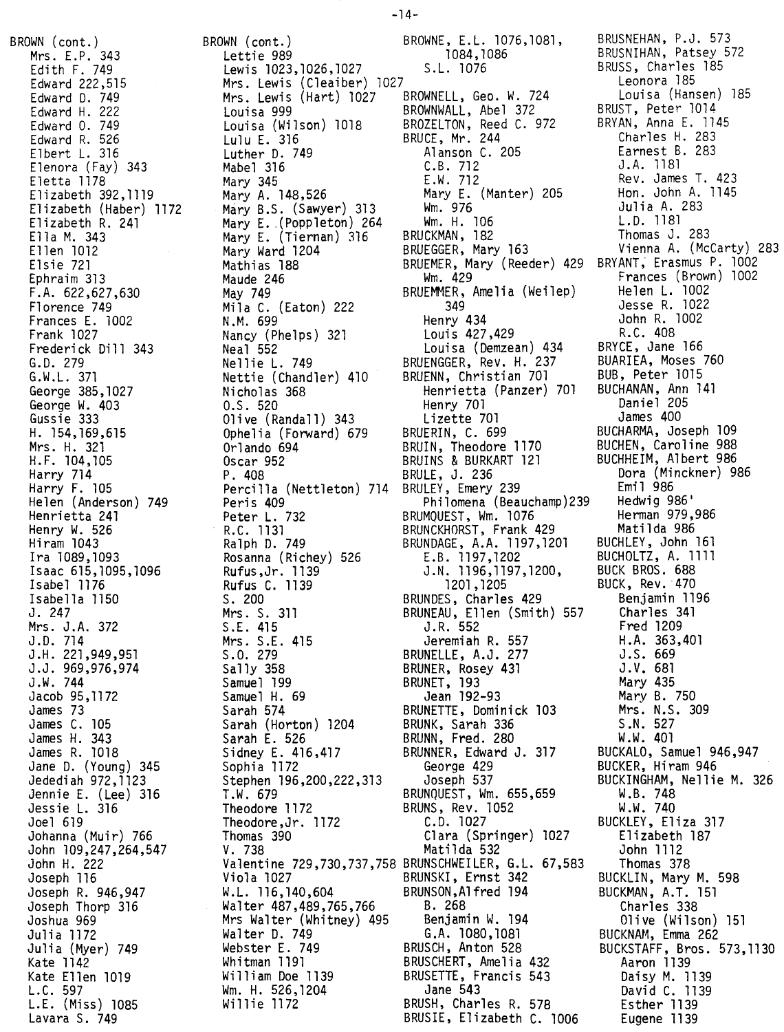BROWN (cont.) Mrs. E.P. 343 Edith F. 749 Edward 222,515 Edward D. 749 Edward H. 222 Edward O. 749 Edward R. 526 Elbert L. 316 Elenora (Fay) 343 Eletta 1178 Elizabeth 392,1119 Elizabeth (Haber) 1172 Elizabeth R. 241 Ella M. 343 Ellen 1012 Elsie 721 Ephraim 313 F.A. 622,627,630 Florence 749 Frances E. 1002 Frank 1027 Frederick Dill 343 G.D. 279 G.W.L. 371 George 385,1027 George W. 403 Gussie 333 H. 154,169,615 Mrs. H. 321 H.F. 104,105 Harry 714<br>Harry F. 105 Harry F. 105 Helen (Anderson) 749 Hen rietta 241 Henry W. 526 Hiram 1043 Ira 1089,1093 Isaac 615,1095,1096 Isabel 1176 Isabella 1150 J. 247 Mrs. J.A. 372 J.D. 714 J.H. 221,949,951 J.J. 969,976,974 J.W. 744 Jacob 95,1172 James 73 James C. 105 James H. 343 James R. 1018 Jane D. (Young) 345 Jedediah 972,1123 Jennie E. (Lee) 316 Jessie L. 316 Joel 619 Johanna (Muir) 766 John 109,247,264,547 John H. 222 Joseph 116 Joseph R. 946,947 Joseph Thorp 316 Joshua 969 Julia 1172 Julia (Myer) 749 Kate 1142 Kate Ellen 1019 L.C. 597 L.E. (Miss) 1085 Lavara S. 749

BROWN (cont.) Lettie 989<br>Lewis 1023,1026,1027 Lewis 1023,1026,1027 Mrs. Lewis (Cleaiber) 1027 Mrs. Lewis (Hart) 1027 BROWNELL, Geo. W. 724 Louisa 999 BROWNWALL, Abel 372 Louisa (Wilson) 1018 BROZELTON, Reed C. 972 Lulu E. 316 BRUCE, Mr. 244 Luther D. 749 Alanson C. 205 Mabel 316 C.B. 712 Mary 345 E.W. 712 Mary A. 148,526 Mary E. (Manter) 205 Mary B.S. (Sawyer) 313 Wm. 976 Mary E.(Poppleton) 264 Wm. H. 106 Mary E. (Tiernan) 316 BRUCKMAN, 182 Mary Ward 1204 BRUEGGER, Mary 163 Maude 246 Wm. 429<br>May 749 Mars BRUEMMER, Mila C. (Eaton) 222<br>N.M. 699 N.M. 699 Henry 434 Nancy (Phelps) 321 Louis 427,429 Neal 552 Louisa (Demzean) 434 Nellie L. 749 BRUENGGER, Rev. H. 237 Nettie (Chandler) 410 BRUENN, Christian 701 Olive (Randall) 343 Ophelia (Forward) 679<br>Orlando 694<br>Oscar 952<br>Oscar 109 Orlando 694 BRUIN, Theodore 1170 Oscar 952 BRUINS & BURKART 121 P. 408 BRULE, J. 236 Percilla (Nettleton) 714 BRULEY, Emery 239 Peter L. 732 BRUMQUEST, Wm. 1076 R.C. 1131 BRUNCKHORST, Frank 429 Ralph D. 749 BRUNDAGE, A.A. 1197,1201 Rosanna (Richey) 526 E.B. 1197,1202 Rufus,Jr. 1139 J.N. 1196,1197,1200, Rufus C. 1139 1201,1205 S. 200 BRUNDES, Charles 429 S.E. 415 J.R. 552 Mrs. S.E. 415 Jeremiah R. 557 S.O. 279 BRUNELLE, A.J. 277 Sally 358 BRUNER, Rosey 431 Samuel 199 BRUNET, 193 Samuel H. 69 Jean 192-93 Sarah 574 BRUNETTE, Dominick 103 Sarah (Horton) 1204 BRUNK, Sarah 336 Sarah E. 526 BRUNN, Fred. 280 Sidney E. 416,417 BRUNNER, Edward J. 317 Sophia 1172 George 429 Stephen 196,200,222,313 Joseph 537 T.W. 679 BRUNQUEST, Wm. 655,659 Theodore 1172 BRUNS, Rev. 1052 Theodore,Jr. 1172 C.D. 1027 Thomas 390 Clara (Springer) 1027 V. 738 Matilda 532 Viola 1027 BRUNSKI, Ernst 342 W.L. 116,140,604 BRUNSON,Alfred 194 Walter 487,489,765,766 B. 268<br>Mrs Walter (Whitney) 495 Benjamin W. 194 Mrs Walter (Whitney) 495 Walter D. 749 G.A. 1080,1081 Webster E. 749 BRUSCH, Anton 528<br>Whitman 1191 BRUSCHERT, Amelia 432 Whitman 1191 BRUSCHERT, Amelia 432 William Doe 1139 BRUSETTE, Francis 543 Wm. H. 526,1204 Jane 543

Mathias 188 BRUEMER, Mary (Reeder) 429 BRYANT; Erasmus P. 1002 BRUEMMER, Amelia (Weilep)<br>349 Nicholas 368 Henrietta (Panzer) 701 Henry 701<br>Lizette 701<br>BRUERIN, C. 699 Peris 409 Philomena (Beauchamp)239 Mrs. S. 311 BRUNEAU, Ellen (Smith) 557 Valentine 729,730,737,758 BRUNSCHWEILER, G.L. 67,583 BRUSH, Charles R. 578 BRUSIE, Elizabeth C. 1006 BROWNE, E.L. 1076,1081, 1084,1086 S.L. 1076

BRUSNEHAN, P.J. 573 BRUSNIHAN, Patsey 572 BRUSS, Charles 185 Leonora 185 Louisa (Hansen) 185 BRUST, Peter 1014 BRYAN, Anna E. 1145 Charles H. 283 Earnest B. 283 J.A. 1181 Rev. James T. 423 Hon. John A. 1145 Julia A. 283 L.D. 1181 Thomas J. 283 Vienna A. (McCarty) 283 Frances (Brown) 1002 Helen L. 1002 Jesse R. 1022 John R. 1002 R.C. 408 BRYCE, Jane 166 BUARIEA, Moses 760 BUB, Peter 1015 BUCHANAN, Ann 141 Daniel 205 James 400 BUCHARMA, Joseph 109 BUCHEN, Caroline 988 BUCHHEIM, Albert 986 Dora (Minckner) 986 Emil 986 Hedwig 986' Herman 979,986 Matilda 986 BUCHLEY, John 161 BUCHOLTZ, A. 1111 BUCK BROS. 688 BUCK, Rev. 470 Benjamin 1196 Charles 341 Fred 1209 H .A. 363,401 J.S. 669 J.V. 681 Mary 435 Mary B. 750 Mrs. N.S. 309 S .N. 527 W.W. 401 BUCKALO, Samuel 946,947 BUCKER, Hiram 946 BUCKINGHAM, Nellie M. 326 W.B. 748 W.W. 740 BUCKLEY, Eliza 317 Elizabeth 187 John 1112 Thomas 378 BUCKLIN, Mary M. 598 BUCKMAN, A.T. 151 Charles 338 Olive (Wilson) 151 BUCKNAM, Emma 262<br>BUCKSTAFF, Bros. ! BUCKSTAFF, Bros. 573,1130 Aaron 1139 Daisy M. 1139 David C. 1139 Esther 1139 Eugene 1139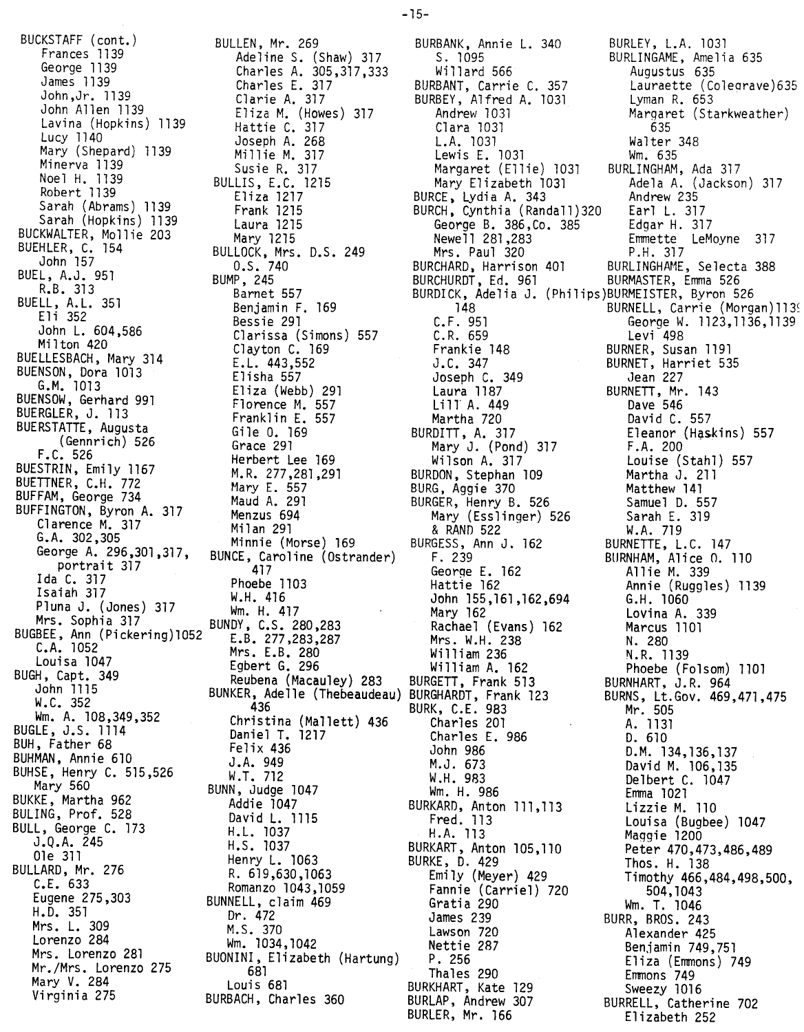BUCKSTAFF (cont.)<br>Frances 1139 BULLEN, Mr. 269 John, Jr. 1139 Clarie A. 317 Lavina (Hopkins) 1139 Lavina (Hopkins) 1139 Hattie C. 317 Mary (Shepard) 1139 Millie M. 317 Mary (Shepard) 1139 Millie M. 317  $M \sim 1139$  Susie R. 317 Note: H. 1139 BULLIS, E.C. 1215<br>Pobent 1130 Robert 1139 Eliza 1217<br>Robert 1130 Eliza 1217 Sarah (Abrams) 1139 Frank 1215 Sarah (Hopkins) 1139 Laura 1215 PULLIMATER, MOLLIE 200 Mary 1215 BUEHLER, C. 154 BULLOCK, Mrs. D.S. 249 BUEL, A.J. 951 L, A.J. 951<br>R.B. 313<br>R.B. 313 error barnet 557  $R = 357$  Barnet 557  $\begin{array}{ccc} \texttt{Bern} & \texttt{Sim} & \texttt{Com} \\ \texttt{Fun} & \texttt{Sim} & \texttt{Com} \end{array}$ eli 352 Bessie 291 John L. 604,586 Clarissa (Simons) 557  $\frac{1}{1000}$   $\frac{1}{1000}$   $\frac{1}{1000}$   $\frac{1}{1000}$   $\frac{1}{1000}$   $\frac{1}{1000}$   $\frac{1}{1000}$ BUELLESBACH, Mary 314 E.L. 443,552  $B = \begin{bmatrix} 1150a & 557c & 101a & 101c & 101c & 101c & 101c & 101c & 101c & 101c & 101c & 101c & 101c & 101c & 101c & 101c & 101c & 101c & 101c & 101c & 101c & 101c & 101c & 101c & 101c & 101c & 101c & 101c & 101c & 101c & 101c & 101c & 101c & 101c & 101c &$ G.M. 1013 Eliza (Webb) 291  $B = \begin{bmatrix} B & B & B \\ C & D & D \\ D & D & D \end{bmatrix}$ Eranklin E. 557<br>BUERGTATTE Avenue – Franklin E. 557  $\frac{1}{2}$ Bueno Francisco Gile O. 169 (Gennrich) 526 Grace 291 F.C. SECTED F.C. SECTED FREEDENT LEE 169 F.C. 526 Herbert Lee 1by<br>BUESTRIN, Emily 1167 M.R. 277,281,291<br>BUETTNER, C.H. 772 Mary E. 557<br>BUFFAM, George 734 Maud A. 291<br>PUEEINGTON Byron A. 317 Menzus 694  $\frac{B}{B}$  C.H. 772 Mary E. 557 BUFFAM, George 734 Maud A. 291 BUFFINGTON, Byron A. 317 Menzus 694  $M1$ arence m. 317 Milan 291  $G.S. 302,305$  Minnie (Morse) 169 portrait 317 417<br>Ida C. 317 Phoebe Ida C. 317 Phoebe 1103  $\frac{1}{2}$ aiah 317 W.H. 416  $P$   $\mu$ m. H. 417 Mrs. Sophia 317 BUNDY, C.S. 280,283 BUGBEE, Ann (Pickering)1052 E.B. 277,283,287  $\frac{1032}{104}$  Mrs. E.B. 280 Louisa 1047 Egbert G. 296 BUGH, Capt. 349 Reubena (Macauley) 283  $\frac{10}{352}$  436 BUGLE, J.S. 1114 Daniel T. 1217 BUH, Father 68 Felix 436 BUHMAN, Annie 610 J.A. 949 BUHSE, Henry C. 515,526 W.T. 712 ary 560 BUNN, Judge 1047 BUKKE, Martha 962 Addie 1047 Mary 560<br>
Mary 560<br>
BUKKE, Martha 962<br>
BUKKE, Martha 962<br>
BULING, Prof. 528<br>
BULING, Prof. 528<br>
David L. 1115<br>
BULL, George C. 173<br>
J.Q.A. 245<br>
H.S. 1037<br>
H.S. 1037 BULL, George C. 173<br>J.Q.A. 245 J.Q.A. 245 H.S. 1037 Ole 311 Henry L. 1063 BULLARD, Mr. 276<br>C.E. 633 C.E. 633 Romanzo 1043,1059 Eugene 275,303 BUNNELL, claim 469 H.D. 351 Dr. 472 Mrs. L. 309 M.S. 370 Lorenzo 284 Wm. 1034,1042 Mr./Mrs. Lorenzo 275 681 ary V. 284 Louis 681 Virginia 275 BURBACH, Charles 360

Frances 1139 Adeline S. (Shaw) 317 George 1139 Charles A. 305,317,333 John Allen 1139  $E$ 11za M. (Howes) 317 George A. 296,301,317, BUNCE, Caroline (Ostrander) John 1115 BUNKER, Adelle (Thebeaudeau) Wm. A. 108,349,352 Christina (Mallett) 436 Mrs. Lorenzo 281 BUONINI, Elizabeth (Hartung)

S. 1095 Willard 566 BURBANT, Carrie C. 357 BURBEY, Alfred A. 1031 Andrew 1031 Clara 1031 L.A. 1031 Lewis E. 1031 Margaret (Ellie) 1031 Mary Elizabeth 1031 BURCE. LYdia A. 343 BURCH. Cynthia (Randall)320 George B. 386,Co. 385 Edgar H. 317 Newe 11 281 ,283 Mrs. Paul 320 BURCHARD, Harrison 401 BURCHURDI, Ed. 901 BURDICK, Adelia J. (Philips)BURMEISTER, Byron 526 148 C.F. 951 C.R. 659 Frankie 148 J.C. 347 Joseph C. 349 Laura 1187 Lill A. 449<br>Martha 720 Martha 720 BURDITI, A. 317 Mary J. (Pond) 317 Wilson A. 317 BURDON, Stephan 109 BURG, Aggie 370 BURGER, Henry B. 526 Mary (Esslinger) 526 & RAND 522 BURGESS, Ann J. 162 F. 239 George E. 162 Hattie 162 John 155,161.162.694 G.H. 1060 Mary 162 Rachael (Evans) 162 Mrs. W.H. 238 William 236 William A. 162 BURGETT. Frank 513 BURGHARDT, Frank 123 BURK, C.E. 983 Charles 201 Charles E. 986 John 986 M.J. 673 W.H. 983 Wm. H. 986 BURKARD, Anton 111,113 Fred. 113 H.A. 113 BURKART, Anton 105,110 BURKE, D. 429 Emily (Meyer) 429 Fannie (Carriel) 720 Gratia 290 James 239 Lawson 720 Nettie 287 P. 256 Thales 290 BURKHART, Kate 129 BURLAP, Andrew 307 BURLER, Mr. 166

BURLEY, L.A. 1031 BURLINGAME, Amelia 635 Augustus 635 Lauraette (Coleorave)635 Lyman R. 653 Margaret (Starkweather) 635 Walter 348 Wm. 635 BURLINGHAM, Ada 317 Adela A. (Jackson) 317 Andrew 235 Earl L. 317 Emmette LeMoyne 317 P.H. 317 BURLINGHAME, Selecta 38 BURMASTER, Emma 526 BURNELL, Carrie (Morgan) 1139 George W. 1123,1136,1139 Levi 498 BURNER, Susan 1191 BURNET, Harriet 535 ,Jean 227 BURNETT, Mr. 143 Dave 546 David C. 557 Eleanor (Haskins) 557 F.A. 200 Louise (Stahl) 557 Martha J. 211 Matthew 141 Samuel D. 557 Sarah E. 319 W.A. 719 BURNETTE, L.C. 147 BURNHAM, Alice O. 110 Allie M. 339 Annie (Ruggles) 1139 Lovina A. 339 Marcus 1101 N. 280 N.R. 1139 Phoebe (Folsom) 1101 BURNHART, J.R. 964 BURNS, Lt.Gov. 469,471,47 Mr. 505 A. 1131 D. 610 D.M. 134,136,137 David M. 106,135 Delbert C. 1047 Emma 1021 Lizzie M. 110 Louisa (Bugbee) 1047 Maggie 1200 Peter 470,473,486,489 Thos. H. 138 Timothy 466,484,498,500, 504,1043 Wm. T. 1046 BURR, BROS. 243 Alexander 425 Benjamin 749,751 Eliza (Emmons) 749 Emmons 749 Sweezy 1016 BURRELL, Catherine 702 Elizabeth 252

BURBANK, Annie L. 340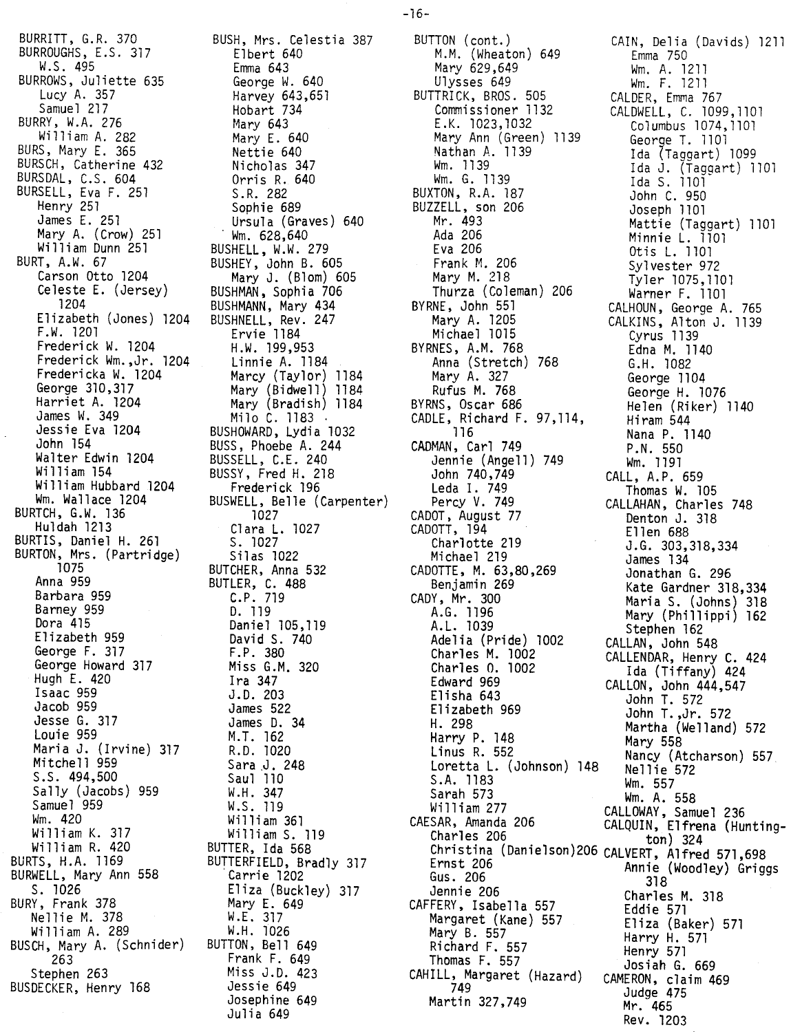BURRITT, G.R. 370<br>BURROUQUE E C. 8  $\frac{1}{2}$ BURROUGHS, E.S. 317 11.J. 499<br>Doug BURROWS, Juliette 635 Lucy  $\frac{1}{2}$ Samuel 217 BURRY, W.A. 276 Wi11iam A. 282 BURS, Mary E. 365 BURSCH, Catherine 432 DURSDAL, C.S. 004<br>Burgell – – – BURSELL, Eva F. 251 Henry 251 James E. 251 Mary A. (Crow) 251 William Dunn 251 BURT, A.W. 67 Carson Otto 1204 Celeste E. (Jersey) 1204 Elizabeth (Jones) 1204 F.W. 1201 Frederi ck W. 1204 Frederick Wm.,Jr. 1204 Fredericka W. 1204 George 310,317 Harriet A. 1204 James W. 349 Jessie Eva 1204 John 154 Walter Edwin 1204 Wi lliam 154 William Hubbard 1204 Wm. Wallace 1204  $BURICB$ , G.W. 136 Huldah 1213 BURTIS, Daniel H. 261 BURTON, Mrs. (Partridge) 1075 Anna 959 Barbara 959 Barney 959 Dora 415 Elizabeth 959 George F. 317 George Howard 317 Hugh E. 420 Isaac 959 Jacob 959 Jesse G. 317 Louie 959 Maria J. (Irvine) 317 Mitche 11 959 .S. 494,500 Sally (Jacobs) 959 amuel 959 Wm. 420 William K. 317 Wi 11iam R. 420 BURTS, H.A. 1169 BURWELL, Mary Ann 558 s. 1026 BURY, Frank 378 Nellie M. 378 William A. 289 BUSCH, Mary A. (Schnider) 263 Stephen 263 BUSDECKER, Henry 168

 $\bar{z}$ 

BUSH, Mrs. Celestia 387 Elbert 640 Emma 643<br>George W. 640 George W. 040 harvey 043,031 Hobart 734 Mary 643 Mary E. 640 Nettie 640<br>Nicholas 347 Nicholas 347 Orris K. 040  $S.R. 282$ Sophie 689 Ursula (Graves) 640 015u.u<br>Wm. 628,640 BUSHELL, W.W. 279 BUSHEY, John B. 605 Mary J. (Blom) 605 BUSHMAN, Sophia 706 BUSHMANN, Mary 434 BUSHNELL, Rev. 247 Ervie 1184 H .W. 199,953 Linnie A. 1184 Marcy (Taylor) 1184 Mary (Bidwell) 1184 Mary (Bradish) 1184 Milo C. 1183 BUSHOWARD, Lydia 1032 BUSS, Phoebe A. 244 BUSSELL, C.E. 240 BUSSY, Fred H. 218 Frederick 196 BUSWELL, Belle (Carpenter) 1027 Clara L. 1027 S. 1027 Sil as 1022 BUTCHER, Anna 532 BUTLER, C. 488 C.P. 719 D. 119 Daniel 105,119 David S. 740 F.P. 380 Miss G.M. 320 Ira 347 J.D. 203 James 522 James D. 34 M.T. 162 R.D. 1020 Sara .J. 248 Saul 110 W.H. 347 W.S. 119 William 361 Wi 11iam S. 119 BUTTER, Ida 568 BUTTERFIELD, Bradly 317 .Carrie 1202 Eliza (Buckley) 317 Mary E. 649 W.E. 317 W.H. 1026 BUTTON, Be11 649 Frank F. 649 Miss J.D. 423 Jessie 649 Josephine 649 Julia 649

BUTTON (cont.)<br>
M.M. (Wheaton) 649 Emma 750 M.M. (Wheaton) 649<br>Mary 629,649 Mary 629,649 Wm. A. 1211 Ulysses 649 Wm. F. 121 BUTTRICK, BROS. 505 CALDER, Emma 767 Commissioner 1132 CALDWELL, C. 1099,110<br>E.K. 1023,1032 Columbus 1074,1101 E.K. 1023,1032 Columbus 1074,1101 Mary Ann (Green) 1139 George T. 1101 Nathan A. 1139 Ida (Taggart) 1099 Wm. 1139 Ida J. (Taggart) 1101 Wm. G. 1139 Ida S. 1101 BUXTON, R.A. 187 John C. 950 BUZZELL, son 206 Joseph 1101 Mr. 493 Mattie (Taggart) 1101 Ada 206 Minnie L. 1101 Eva 206 Otis L. 1101 Frank M. 206 Sylvester 972 Mary M. 218 Tyler 1075,110 Thurza (Coleman) 206 Warner F. 1101 BYRNE, John 551 CALHOUN, George A. 765 ... 1205<br>Michael 1015<br>BYRNES, A.M. 768<br>Anna (Strete) BYRNES, A.M. 768 Edna M. 1140 Anna (Stretch) 768 G.H. 1082 Mary A. 327 George 1104 Rufus M. 768 George H. 1076 BYRNS, Oscar 686 Helen (Riker) 1140 CADLE, Richard F. 97,114, Hiram 544 116 Nana P. 1140 CADMAN, Carl 749 P.N. 550 Jennie (Angell) 749 Wm. 1191 John 740,749 CALL, A.P. 659 Leda I. 749 Thomas W. 105 Percy V. 749 CALLAHAN, Charles 748 CADOT, August 77 Denton J. 318 CADOTT, 194 Ellen 688  $\begin{array}{ccc}\n\text{L} & \text{L} & \text{L} & \text{L} & \text{L} \\
\text{Charlotte} & 219 & 3.6 & 303,318,334 \\
\text{Michael} & 219 & & \text{James} & 134\n\end{array}$ Michael 219 James 134 CADOTTE, M. 63,80,269 Jonathan G. 296 Benjamin 269 Kate Gardner 318,334 CADY, Mr. 300 Maria S. (Johns) 318 A.G. 1196 Mary (Phillippi) 162 A.L. 1039 Stephen 162 Adelia (Pride) 1002 CALLAN, John 548 Charles M. 1002 CALLENDAR, Henry C. 424 Charles O. 1002 Ida (Tiffany) 424 Edward 969 CALLON, John 444,547 Elisha 643 John T. 572 Elizabeth 969<br>H. 298 John T. ,Jr. 572<br>Martha (Welland Harry P. 148 Mary 558 Loretta L. (Johnson) 148 Nellie 572 S.A. 1183 Wm. 557 Sarah 573 Wm. A. 558 William 277 CALLOWAY, Samuel 236 CAESAR, Amanda 206 CALQUIN, Elfrena (Hunting-Charles 206 ton) 324 Christina (Danielson)206 CALVERT, Alfred 571,698 Ernst 206 Annie (Woodley) Griggs Gus. 206 318 Jennie 206 Charles M. 318 CAFFERY, Isabella 557<br>Margaret (Kane) 557 Margaret (Kane) 557 Eliza (Baker) 571 Mary B. 557 Harry H. 571 Richard F.  $557$ Thomas F. 557 Josiah G. 669 CAHILL, Margaret (Hazard) CAMERON, claim 469 749 Judge 475 Martin 327,749 Mr. 465 Rev. 1203

CALKINS, Alton J. 1139<br>Cyrus 1139 Martha (Welland) 572 Nancy (Atcharson) 557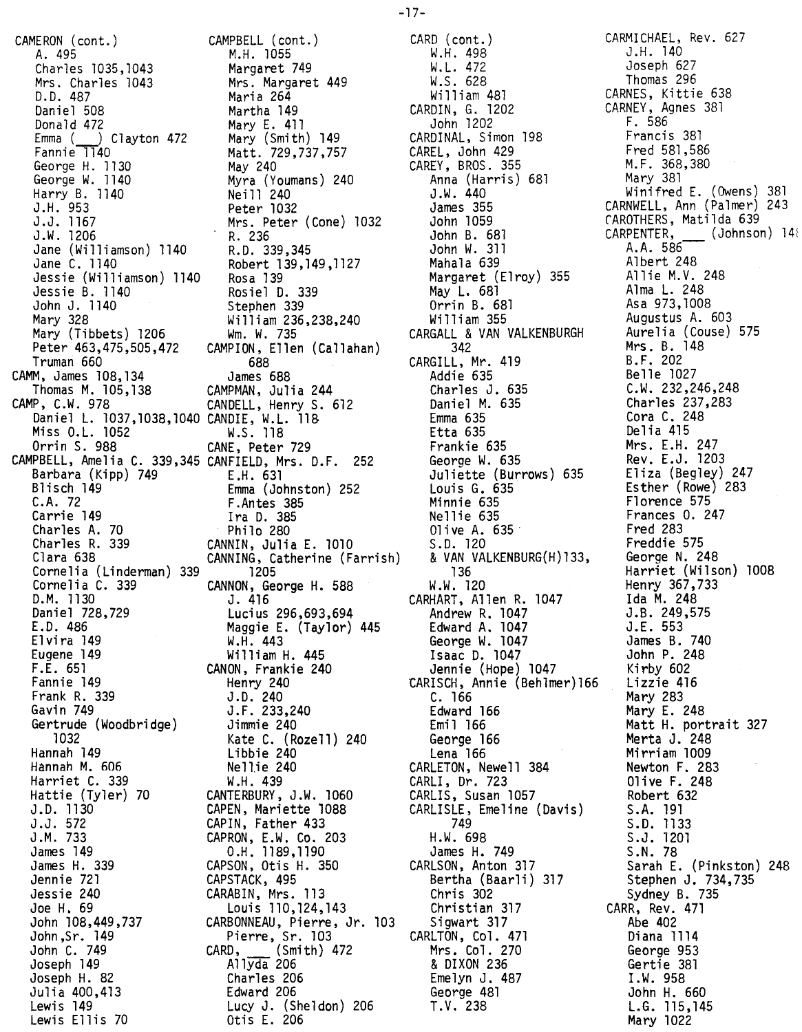CAMERON (cont.) CAMPBEll (cont.) A. 495 M.H. 1055 Charles 1035,1043 Margaret 749 Mrs. Charles 1043 Mrs. Margaret 449 D.D. 487 Maria 264 Daniel 508 Martha 149 Donald 472 Mary E. 411 Emma (~ Clayton 472 Mary (Smith) 149 Fannie 1140 Matt. 729,737,757 George H. 1130 May 240 George W. 1140 Myra (Youmans) 240 Harry B. 1140 Neill 240 J.H. 953 Peter 1032 J.J. 1167 Mrs. Peter (Cone) 1032 J.W.1206 R.236 Jane (Williamson) 1140 R.D. 339,345 Jane C. 1140 Robert 139,149,1127 Jessie (Williamson) 1140 Rosa 139 Jessie B. 1140 Rosiel D. 339 John J. 1140 Stephen 339 Mary 328 William 236,238,240 Mary (Tibbets) 1206 Wm. W. 735 Peter 463,475,505,472 CAMPION, Ellen (Callahan) Truman 660 688 CAMM, James 108,134 James 688 Thomas M. 105,138 CAMPMAN, Julia 244 CAMP, C.W. 978 CANDELL, Henry S. 612 Daniel L. 1037,1038,1040 CANDIE, W.L. 11& Miss O.L. 1052 W.S. 118 Orrin S. 988 CANE, Peter 729 CAMPBELL, Amelia C. 339,345 CANFIELD, Mrs. D.F. 252 Barbara (Kipp) 749 E.H. 631 Blisch 149 Emma (Johnston) 252 C.A. 72 F.Antes 385 Carrie 149 Ira D. 385 Charles A. 70 Philo 280 Charles R. 339 CANNIN, Julia E. 1010 Clara 638 CANNING, Catherine (Farrish) Cornelia (linderman) 339 1205 Cornelia C. 339 CANNON, George H. 588 D.M. 1130 J. 416 Daniel 728,729 Lucius 296,693,694 E.D. 486 Maggie E. (Taylor) 445 Elvira 149 W.H. 443 Eugene 149 William H. 445 F.E. 651 CANON, Frankie 240 Fannie 149 Henry 240 Frank R. 339 J.D. 240 Gavin 749 J.F. 233,240 Gertrude (Woodbridge) Jimmie 240 1032 Kate C. (Rozell) 240 Hannah 149 Libbie 240 Hannah M. 606 Nellie 240 Harriet C. 339 W.H. 439 Hattie (Tyler) 70 CANTERBURY, J.W. 1060 J.D. 1130 CAPEN, Mariette 1088 J.J.572 CAPIN, Father 433 J.M. 733 CAPRON, E.W. Co. 203 James 149 0.H.1189,1190 James H. 339 CAPSON, Otis H. 350 Jennie 721 CAPSTACK, 495 Jessie 240 CARABIN, Mrs. 113 Joe H. 69 Louis 110,124,143 John 108,449,737 CARBONNEAU, Pierre, Jr. 103 John ,Sr. 149 Pierre, Sr. 103 John C. 749 CARD, (Smith) 472 Joseph 149 A11yda 206 Joseph H. 82 Charles 206 Julia 400,413 Edward 206 Lewis 149 lucy J. (Sheldon) 206

Lewis Ellis 70 Otis L 206

CARD (cont.) W.H. 498 W. L. 472 W.S. 628 William 481 CARDIN, G. 1202 John 1202 CARDINAL, Simon 198 CAREL, John 429 CAREY, BROS. 355 Anna (Harris) 681 J.W. 440 James 355 John 1059 John B. 681 John W. 311 Mahala 639 Margaret (Elroy) 355 May L. 681 Orrin B. 681 Wi11iam 355 CARGALl & VAN VALKENBURGH 342 CARGILL, Mr. 419 Addie 635 Charles J. 635 DanielM. 635 Emma 635 Etta 635 Frankie 635 George W. 635 Juliette (Burrows) 635 Louis G. 635 Minnie 635 Nellie 635 01ive A. 635· S.D. 120 & VAN VALKENBURG(H)133, 136 W.W. 120 CARHART, Allen R. 1047 Andrew R. 1047 Edward A. 1047 George W. 1047 Isaac D. 1047 Jennie (Hope) 1047 tARISCH, Annie (Beh1mer)166 C. 166 Edward 166 Emi1 166 George 166 Lena 166 CARLETON, Newell 384 CARLI, Dr. 723 CARLIS, Susan 1057 CARLISLE, Emeline (Davis) 749 H.W. 698 James H. 749 CARLSON, Anton 317 Bertha (Baar1i) 317 Chris 302 Christian 317 Sigwart 317 CARLTON, Col. 471 Mrs. Col. 270 & DIXON 236 Eme1yn J. 487 George 481 T.V. 238

CARMICHAEL, Rev. 627 J.H. 140 Joseph 627 Thomas 296 CARNES, Kittie 638 CARNEY, Agnes 381 F. 586 Francis 381 Fred 581,586 M.F. 368,380 Mary 381 Winifred L (Owens) 381 CARNWELL, Ann (Palmer) 243 CAROTHERS, Matilda 639 CARPENTER, (Johnson) 14i A.A. 586- Albert 248 Allie M.V. 248 Alma L. 248 Asa 973,1008 Augustus A. 603 Aurelia (Couse) 575 Mrs. B. 148 B.F. 202 Belle 1027 C.W. 232,246,248 Charles 237,283 Cora C. 248 Delia 415 Mrs. E.H. 247 Rev. E.J. 1203 Eliza (Begley) 247 Esther (Rowe) 283 Florence 575 Frances O. 247 Fred 283 Freddie 575 George N. 248 Harriet (Wilson) 1008 Henry 367,733 Ida M. 248 J.B. 249,575 J.E. 553 James B. 740 John P. 248 Kirby 602 Lizzie 416 Mary 283 Mary L 248 Matt H. portrait 327 Merta J. 248 Mirriam 1009 Newton F. 283 01ive F. 248 Robert 632 S.A. 191 S.D. 1133 S.J. 1201 S.N. 78 Sarah E. (Pinkston) 248 Stephen J. 734,735 Sydney B. 735 CARR, Rev. 471 Abe 402 Diana 1114 George 953 Gertie 381 I.W. 958 John H. 660 L.G. 115,145 Mary 1022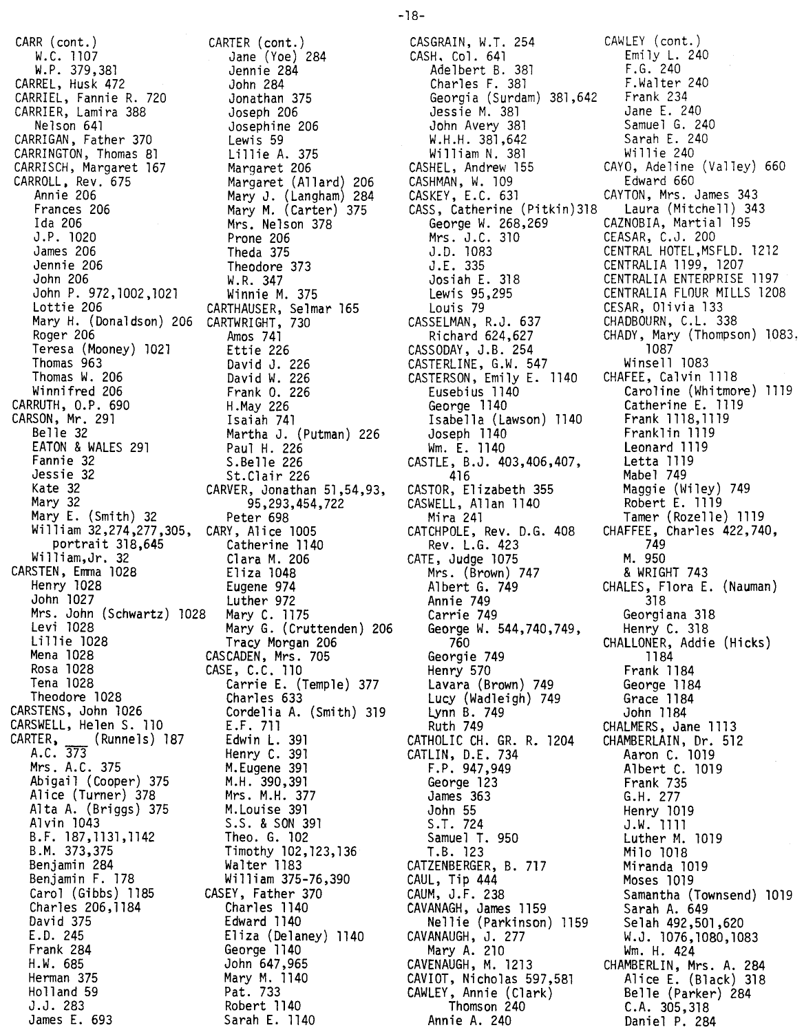CARR (CONC.) W.C. 1107<br>... 270 W.F. 379,381 CARREL, Husk 472 CARRIEL, Fannie R. 720 CARRIER, Lamira 388 Nelson 641 CARRIGAN, Father 370 CARRINGTON, Thomas 81 CARRISCH, Margaret 167 CARROLL, Rev. 675 Annie 206 Frances 206 Ida 206 J.P. 1020 James 206 Jennie 206 John 206 John P. 972,1002,1021 Lottie 206 Mary H. (Donaldson) 206 CARTWRI GHT, 730 Roger 206 Teresa (Mooney) 1021 Thomas 963 Thomas W. 206 Winnifred 206 CARRUTH, O.P. 690 CARSON, Mr. 291 Belle 32 EATON & WALES 291 Fannie 32 Jessie 32 Kate 32 Mary 32 wary E. (Smith) 32 William 32,274,277,305, portrait 318,645 William,Jr. 32 CARSTEN, Emma 1028 Henry 1028 John 1027 Mrs. John (Schwartz) 1028 Levi 1028 Lillie 1028 Mena 1028 Rosa 1028 Tena 1028 Theodore 1028 CARSTENS, John 1026 CARSWELL, Helen S. 110  $\lfloor$  (Runnels) 187 CARTER, A.C. 373 Mrs. A.C. 375 Abigail (Cooper) 375 Alice (Turner) 378 Alta A. (Briggs) 375 Al vin 1043 B. F. 187,1131,1142 B.M. 373,375 Benjamin 284 Benjamin F. 178 Carol (Gibbs) 1185 Charles 206,1184 David 375 E.D. 245 Frank 284 H.W. 685 Herman 375 Holland 59 J.J. 283 James E. 693

CARTER (cont.) Jane (Yoe) 284 Jennie 284 John 284 Jonathan 375 Joseph 206 Josephine 206 Lewis 59 Lillie A. 375 Margaret 206 Margaret (Allard) 206 Mary J. (Langham) 284 Mary M. (Carter) 375 Mrs. Nelson 378 Prone 206 Theda 375 Theodore 373 W. R. 347 Winnie M. 375 CARTHAUSER, Selmar 165 Amos 741 Ettie 226 David J. 226 David W. 226 Frank O. 226 H.May 226 Isaiah 741 Martha J. (Putman) 226 Paul H. 226 S.Be11e 226 St.Clair 226 CARVER, Jonathan 51,54,93, 95,293,454,722 Peter 698 CARY, Alice 1005 Catherine 1140 Clara M. 206 Eliza 1048 Eugene 974 Luther 972 Mary C. 1175 Mary G. (Cruttenden) 206 Tracy Morgan 206 CASCADEN, Mrs. 705 CASE, C.C. 110 Carrie E. (Temple) 377 Charles 633 Cordelia A. (Smith) 319 LF. 711 Edwin L. 391 Henry C. 391 M.Eugene 391 M.H. 390,391 Mrs. M.H. 377 M.Louise 391 S.S. & SON 391 Theo. G. 102 Timothy 102,123,136 Walter 1183 William 375-76,390 CASEY, Father 370 Charles 1140 Edward 1140 Eliza (Delaney) 1140 George 1140 John 647,965 Mary M. 1140 Pat. 733 Robert 1140 Sarah E. 1140

CASGRAIN, W.T. 254 CAWLEY (cont.)<br>CASH. Col. 641 Emily L. 240 CASH, Col. 641 Emily L.<br>
Adelbert B. 381 F.G. 240 Adelbert B. 381 F.G. 240<br>Charles F. 381 F.Walter 240 Charles F. 381 F.Walter<br>Georgia (Surdam) 381.642 Frank 234 Georgia (Surdam) 381,642 Frank 234 Jessie M. 381 Jane E. 240<br>John Avery 381 Samuel G. 240 John Avery 381 Samuel G. 240 W.H.H. 381,642 Sarah E. 240 William N. 381<br>CASHEL, Andrew 155 CASHMAN, W. 109<br>CASKEY, E.C. 631 CASS, Catherine (Pitkin) 318<br>George W. 268, 269 Mrs. J.C. 310 CEASAR, C.J. 200 J.E. 335 CENTRALIA 1199, 1207 Louis 79<br>
CESAR, 01ivia 133<br>
SELMAN, R.J. 637 CHADBOURN, C.L. 338 CASSELMAN, R.J. 637 CASSODAY, J.B. 254 1087<br>CASTERLINE, G.W. 547 Winsell 1083 CASTERLINE, G.W. 547 Winsell 1083<br>CASTERSON, Emily E. 1140 CHAFEE, Calvin 1118 CASTERSON, Emily E. 1140 Isabella (Lawson) 1140 Frank 1118,1119 Joseph 1140 Franklin 1119 Wm. E. 1140 Leonard 1119 CASTLE, B.J. 403,406,407, Letta 1119 CASTOR, Elizabeth 355 Maggie (Wiley) 749 CASWELL, Allan 1140<br>Mira 241 CATCHPOLE, Rev. D.G. 408 CHAFFEE, Charles 422,740, Rev. L.G. 423 749 CATE, Judge 1075 M. 950 Mrs. (Brown) 747<br>Albert G. 749 Annie 749 318 George W. 544,740,749, Henry C. 318 Georgie 749 1184 Henry 570 Frank 1184 Lavara (Brown) 749 George 1184 Lucy (Wadleigh) 749 Grace 1184 Lynn B. 749 John 1184 Ruth 749 CHALMERS, Jane 1113 CATHOLIC CH. GR. R. 1204 CATLIN, D.E. 734 Aaron C. 1019 F.P. 947,949 Albert C. 1019 George 123 Frank 735<br>James 363 G.H. 277 John 55 Henry 1019 S.T. 724 J.W. 1111 Samuel T. 950 Luther M. 1019 T .B. 123 Milo 1018 CATZENBERGER, B. 717 Miranda 1019 CAUL, Tip 444 Moses 1019 CAVANAGH, James 1159 Sarah A. 649 Nellie (Parkinson) 1159 Selah 492,501,620 CAVANAUGH, J. 277 W.J. 1076,1080,1083 Mary A. 210 Wm. H. 424 CAVENAUGH, M. 1213 CHAMBERLIN, Mrs. A. 284 *CAVIOT,* Nicholas 597,581 Alice E. (Black) 318 CAWLEY, Annie (Clark) Belle (Parker) 284 Thomson 240 C.A. 305,318 Annie A. 240 Daniel P. 284

CAYO, Adeline (Valley) 660<br>Edward 660 CAYTON, Mrs. James 343<br>Laura (Mitchell) 343 CAZNOBIA, Martial 195 J.D. 1083 CENTRAL HOTEL,MSFLD. 1212 Josiah E. 318 CENTRALIA ENTERPRISE 1197 CENTRALIA FLOUR MILLS 1208 Richard 624,627 CHADY, Mary (Thompson) 1083,<br>SODAY, J.B. 254 1087 Eusebius 1140 Caroline (Whitmore) 1119 Catherine E. 1119<br>Frank 1118,1119 Mabel 749 Tamer (Rozelle) 1119 CHALES, Flora E. (Nauman) Georgiana 318 760 CHALLONER, Addie (Hicks) G.H. 277 Samantha (Townsend) 1019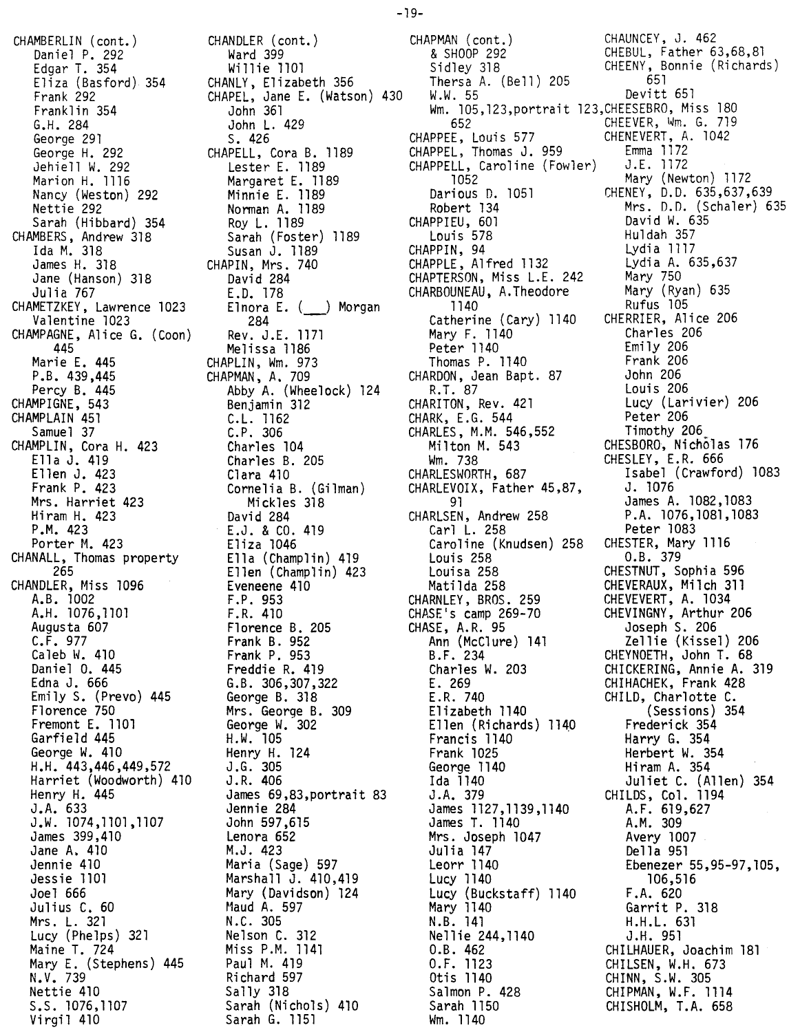CHAMBERLIN (cont.) Daniel P. 292 Edgar T. 354 Eliza (Basford) 354 Frank 292 Franklin 354 G.H. 284 George 291 George H. 292 Jehie11 W. 292 Marion H. 1116 Nancy (Weston) 292 Nettie 292 Sarah (Hibbard) 354 CHAMBERS, Andrew 318 Ida M. 318 James H. 318 Jane (Hanson) 318 Julia 767 CHAMETZKEY, Lawrence 1023 Valentine 1023 CHAMPAGNE, Alice G. (Coon) 445 Marie E. 445 P.B. 439,445 Percy B. 445 CHAMPIGNE, 543 CHAMPLAIN 451 Samuel 37 CHAMPLIN, Cora H. 423 Ella J. 419 Ellen J. 423 Frank P. 423 Mrs. Harriet 423 Hiram H. 423 P.M. 423 Porter M. 423 CHANALL, Thomas property 265 CHANDLER, Miss 1096 A.B. 1002 A.H. 1076,1101 Augusta 607 C.F. 977 Caleb W. 410 Daniel O. 445 Edna J. 666 Emily S. (Prevo) 445 Florence 750 Fremont E. 1101 Garfield 445 George W. 410 H.H. 443,446,449,572 Harriet (Woodworth) 410 Henry H. 445 J.A. 633 J.W. 1074,1101,1107 James 399,410 Jane A. 410 Jennie 410 Jessie 1101 Joel 666 Julius C. 60 Mrs. L. 321 Lucy (Phelps) 321 Maine T. 724 Mary E. (Stephens) 445 N.V. 739 Nettie 410 S.S. 1076,1107 Virgil 410

CHANDLER (cont.) Ward 399 Wi11ie 1101 CHANLY, Elizabeth 356 CHAPEL, Jane E. (Watson) 430 John 361 John L. 429 S. 426 CHAPELL, Cora B. 1189 Lester E. 1189 Margaret E. 1189 Minnie E. 1189 Norman A. 1189 Roy L. 1189 Sarah (Foster) 1189 Susan J. 1189 CHAPIN, Mrs. 740 David 284 LD. 178 Elnora E. (\_\_\_) Morgan 284 - Rev. J.E. 1171 Melissa 1186 CHAPLIN, Wm. 973 CHAPMAN, A. 709 Abby A. (Wheelock) 124 Benjamin 312 C.L. 1162 C.P. 306 Charles 104 Charles B. 205 Clara 410 Cornelia B. (Gilman) Mickles 318 David 284 E.J. & CO. 419 Eliza 1046 Ella (Champlin) 419 Ellen (Champlin) 423 Eveneene 410 F.P. 953 F.R. 410 Florence B. 205 Frank B. 952 Frank P. 953 Freddie R. 419 G.B. 306,307,322 George B. 318 Mrs. George B. 309 George W. 302 H.W. 105 Henry H. 124 J .G. 305 J.R. 406 James 69,83,portrait 83 Jennie 284 John 597,615 Lenora 652 M.J. 423 Maria (Sage) 597 Marshall J. 410,419 Mary (DaVidson) 124 r1audA. 597 N.C. 305 Nelson C. 312 Miss P.M. 1141 Paul M. 419 Richard 597 Sally 318 Sarah (Nichols) 410 Sarah G. 1151

CHAPMAN (cont.) CHAUNCEY, J. 462 & SHOOP 292 CHEBUL, Father 63,68,81 Sidley 318 CHEENY, Bonnie (Richards) Thersa A. (Bell)  $205$  651 W.W. 55 Devitt 651 Wm. 105,123,portrait 123,CHEESEBRO, Miss 180 652 CHEEVER, Wm. G. 719 CHAPPEE, Louis 577 CHENEVERT, A. 1042 CHAPPEL, Thomas J. 959 Emma 1172 CHAPPELL, Caroline (Fowler) J.E. 1172 1052 Mary (Newton) 1172 Darious O. 1051 CHENEY, D.O. 635,637,639 Robert 134 Mrs. D.O. (Schaler) 635 CHAPPIEU, 601 David W. 635 Louis 578 Huldah 357 CHAPPIN, 94 Lydia 1117 CHAPPLE, Alfred 1132 Lydia A. 635,637 CHAPTERSON, Miss L.E. 242 Mary 750 CHARBOUNEAU, A.Theodore Mary (Ryan) 635 1140 Rufus 105 Catherine (Cary) 1140 CHERRIER, Alice 206 Mary F. 1140 Charles 206 Peter 1140 Emily 206 Thomas P. 1140 Frank 206 CHARDON, Jean Bapt. 87 John 206 R.1. 87 Louis 206 CHARITON, Rev. 421 Lucy (Larivier) 206 CHARK, E.G. 544 Peter 206 CHARLES, M.M. 546,552 Timothy 206\_ Milton M. 543 CHESBORO, Nichblas 176 Wm. 738 CHESLEY, E.R. 666 CHARLESWORTH, 687 Isabel (Crawford) 1083 CHARLEVOIX, Father 45,87, J. 1076 91 James A. 1082,1083 CHARLSEN, Andrew 258 P.A. 1076,1081,1083 Carl L. 258 Peter 1083 Caroline (Knudsen) 258 CHESTER, Mary 1116 Louis 258 O.B. 379 Louisa 258 CHESTNUT, Sophia 596 Matilda 258 CHEVERAUX, Milch 311 CHARNLEY, BROS. 259 CHEVEVERT, A. 1034 CHASE's camp 269-70 CHEVINGNY, Arthur 206 CHASE, A.R. 95 Joseph S. 206 Ann (McClure) 141 Zellie(Kissel) 206 B.F. 234 CHEYNOETH, John T. 68 Charles W. 203 CHICKERING, Annie A. 319 E. 269 CHIHACHEK, Frank 428 E.R. 740 CHILD, Charlotte C. Elizabeth 1140 (Sessions) 354 Ellen (Richards) 1140 Frederick 354 Francis 1140 Harry G. 354 Frank 1025 Herbert W. 354 George 1140 Hiram A. 354 Ida 1140 Juliet C. (Allen) 354 J.A.379 CHILDS, Col, 1194 James 1127,1139,1140 A.F. 619,627 James T. 1140 A.M. 309 Mrs. Joseph 1047 Avery 1007 Julia 147 Della 951 Leorr 1140 Ebenezer 55,95-97,105, Lucy 1140 106,516 Lucy (Buckstaff) 1140 F.A. 620 Mary 1140 Garrit P. 318 N.B. 141 H.H.L. 631 Nellie 244,1140 J.H. 951 O.B. 462 CHILHAUER, Joachim 181 O.F. 1123 CHILSEN, W.H. 673 Otis 1140 CHINN, S.W. 305 Salmon P. 428 CHIPMAN, W.F. 1114 Sarah 1150 CHISHOLM, LA. 658 Wm. 1140